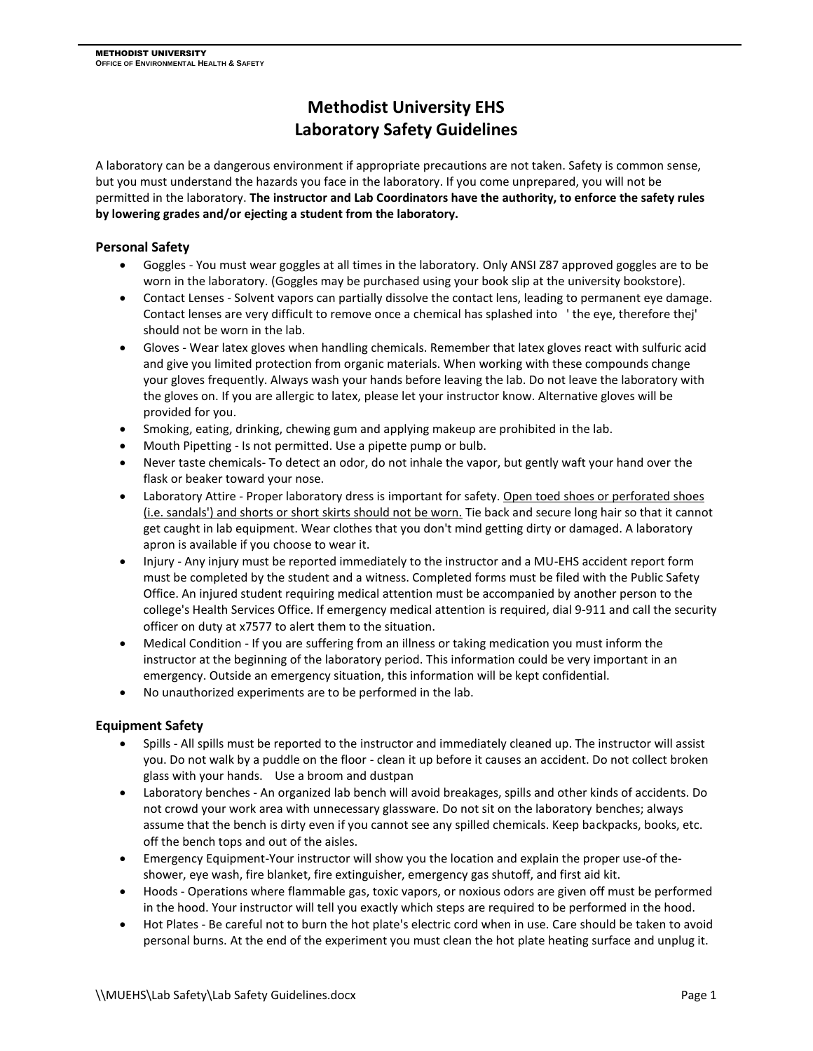# **Methodist University EHS Laboratory Safety Guidelines**

A laboratory can be a dangerous environment if appropriate precautions are not taken. Safety is common sense, but you must understand the hazards you face in the laboratory. If you come unprepared, you will not be permitted in the laboratory. **The instructor and Lab Coordinators have the authority, to enforce the safety rules by lowering grades and/or ejecting a student from the laboratory.**

## **Personal Safety**

- Goggles You must wear goggles at all times in the laboratory. Only ANSI Z87 approved goggles are to be worn in the laboratory. (Goggles may be purchased using your book slip at the university bookstore).
- Contact Lenses Solvent vapors can partially dissolve the contact lens, leading to permanent eye damage. Contact lenses are very difficult to remove once a chemical has splashed into ' the eye, therefore thej' should not be worn in the lab.
- Gloves Wear latex gloves when handling chemicals. Remember that latex gloves react with sulfuric acid and give you limited protection from organic materials. When working with these compounds change your gloves frequently. Always wash your hands before leaving the lab. Do not leave the laboratory with the gloves on. If you are allergic to latex, please let your instructor know. Alternative gloves will be provided for you.
- Smoking, eating, drinking, chewing gum and applying makeup are prohibited in the lab.
- Mouth Pipetting Is not permitted. Use a pipette pump or bulb.
- Never taste chemicals- To detect an odor, do not inhale the vapor, but gently waft your hand over the flask or beaker toward your nose.
- Laboratory Attire Proper laboratory dress is important for safety. Open toed shoes or perforated shoes (i.e. sandals') and shorts or short skirts should not be worn. Tie back and secure long hair so that it cannot get caught in lab equipment. Wear clothes that you don't mind getting dirty or damaged. A laboratory apron is available if you choose to wear it.
- Injury Any injury must be reported immediately to the instructor and a MU-EHS accident report form must be completed by the student and a witness. Completed forms must be filed with the Public Safety Office. An injured student requiring medical attention must be accompanied by another person to the college's Health Services Office. If emergency medical attention is required, dial 9-911 and call the security officer on duty at x7577 to alert them to the situation.
- Medical Condition If you are suffering from an illness or taking medication you must inform the instructor at the beginning of the laboratory period. This information could be very important in an emergency. Outside an emergency situation, this information will be kept confidential.
- No unauthorized experiments are to be performed in the lab.

## **Equipment Safety**

- Spills All spills must be reported to the instructor and immediately cleaned up. The instructor will assist you. Do not walk by a puddle on the floor - clean it up before it causes an accident. Do not collect broken glass with your hands. Use a broom and dustpan
- Laboratory benches An organized lab bench will avoid breakages, spills and other kinds of accidents. Do not crowd your work area with unnecessary glassware. Do not sit on the laboratory benches; always assume that the bench is dirty even if you cannot see any spilled chemicals. Keep backpacks, books, etc. off the bench tops and out of the aisles.
- Emergency Equipment-Your instructor will show you the location and explain the proper use-of theshower, eye wash, fire blanket, fire extinguisher, emergency gas shutoff, and first aid kit.
- Hoods Operations where flammable gas, toxic vapors, or noxious odors are given off must be performed in the hood. Your instructor will tell you exactly which steps are required to be performed in the hood.
- Hot Plates Be careful not to burn the hot plate's electric cord when in use. Care should be taken to avoid personal burns. At the end of the experiment you must clean the hot plate heating surface and unplug it.